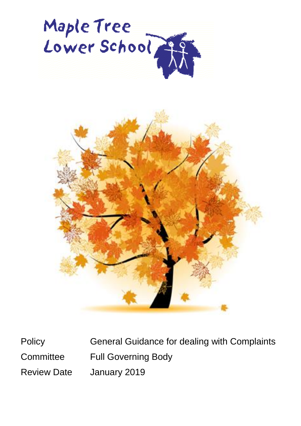



Policy General Guidance for dealing with Complaints Committee Full Governing Body Review Date January 2019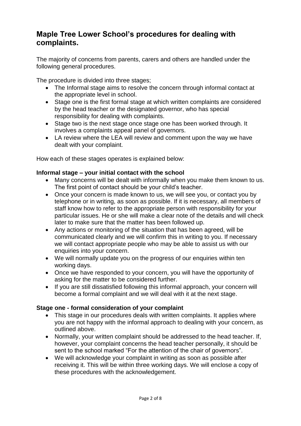# **Maple Tree Lower School's procedures for dealing with complaints.**

The majority of concerns from parents, carers and others are handled under the following general procedures.

The procedure is divided into three stages;

- The Informal stage aims to resolve the concern through informal contact at the appropriate level in school.
- Stage one is the first formal stage at which written complaints are considered by the head teacher or the designated governor, who has special responsibility for dealing with complaints.
- Stage two is the next stage once stage one has been worked through. It involves a complaints appeal panel of governors.
- LA review where the LEA will review and comment upon the way we have dealt with your complaint.

How each of these stages operates is explained below:

#### **Informal stage – your initial contact with the school**

- Many concerns will be dealt with informally when you make them known to us. The first point of contact should be your child's teacher.
- Once your concern is made known to us, we will see you, or contact you by telephone or in writing, as soon as possible. If it is necessary, all members of staff know how to refer to the appropriate person with responsibility for your particular issues. He or she will make a clear note of the details and will check later to make sure that the matter has been followed up.
- Any actions or monitoring of the situation that has been agreed, will be communicated clearly and we will confirm this in writing to you. If necessary we will contact appropriate people who may be able to assist us with our enquiries into your concern.
- We will normally update you on the progress of our enquiries within ten working days.
- Once we have responded to your concern, you will have the opportunity of asking for the matter to be considered further.
- If you are still dissatisfied following this informal approach, your concern will become a formal complaint and we will deal with it at the next stage.

## **Stage one - formal consideration of your complaint**

- This stage in our procedures deals with written complaints. It applies where you are not happy with the informal approach to dealing with your concern, as outlined above.
- Normally, your written complaint should be addressed to the head teacher. If, however, your complaint concerns the head teacher personally, it should be sent to the school marked "For the attention of the chair of governors".
- We will acknowledge your complaint in writing as soon as possible after receiving it. This will be within three working days. We will enclose a copy of these procedures with the acknowledgement.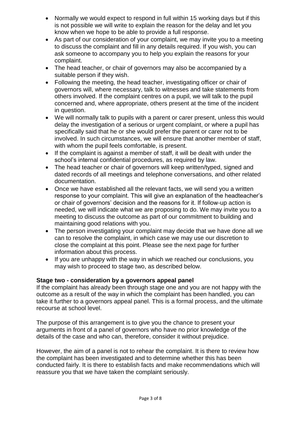- Normally we would expect to respond in full within 15 working days but if this is not possible we will write to explain the reason for the delay and let you know when we hope to be able to provide a full response.
- As part of our consideration of your complaint, we may invite you to a meeting to discuss the complaint and fill in any details required. If you wish, you can ask someone to accompany you to help you explain the reasons for your complaint.
- The head teacher, or chair of governors may also be accompanied by a suitable person if they wish.
- Following the meeting, the head teacher, investigating officer or chair of governors will, where necessary, talk to witnesses and take statements from others involved. If the complaint centres on a pupil, we will talk to the pupil concerned and, where appropriate, others present at the time of the incident in question.
- We will normally talk to pupils with a parent or carer present, unless this would delay the investigation of a serious or urgent complaint, or where a pupil has specifically said that he or she would prefer the parent or carer not to be involved. In such circumstances, we will ensure that another member of staff, with whom the pupil feels comfortable, is present.
- If the complaint is against a member of staff, it will be dealt with under the school's internal confidential procedures, as required by law.
- The head teacher or chair of governors will keep written/typed, signed and dated records of all meetings and telephone conversations, and other related documentation.
- Once we have established all the relevant facts, we will send you a written response to your complaint. This will give an explanation of the headteacher's or chair of governors' decision and the reasons for it. If follow-up action is needed, we will indicate what we are proposing to do. We may invite you to a meeting to discuss the outcome as part of our commitment to building and maintaining good relations with you.
- The person investigating your complaint may decide that we have done all we can to resolve the complaint, in which case we may use our discretion to close the complaint at this point. Please see the next page for further information about this process.
- If you are unhappy with the way in which we reached our conclusions, you may wish to proceed to stage two, as described below.

## **Stage two - consideration by a governors appeal panel**

If the complaint has already been through stage one and you are not happy with the outcome as a result of the way in which the complaint has been handled, you can take it further to a governors appeal panel. This is a formal process, and the ultimate recourse at school level.

The purpose of this arrangement is to give you the chance to present your arguments in front of a panel of governors who have no prior knowledge of the details of the case and who can, therefore, consider it without prejudice.

However, the aim of a panel is not to rehear the complaint. It is there to review how the complaint has been investigated and to determine whether this has been conducted fairly. It is there to establish facts and make recommendations which will reassure you that we have taken the complaint seriously.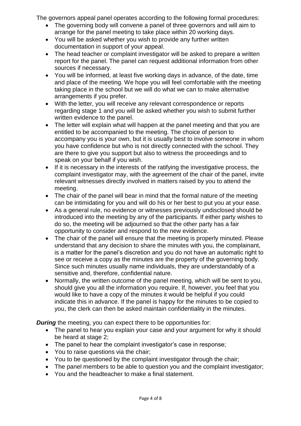The governors appeal panel operates according to the following formal procedures:

- The governing body will convene a panel of three governors and will aim to arrange for the panel meeting to take place within 20 working days.
- You will be asked whether you wish to provide any further written documentation in support of your appeal.
- The head teacher or complaint investigator will be asked to prepare a written report for the panel. The panel can request additional information from other sources if necessary.
- You will be informed, at least five working days in advance, of the date, time and place of the meeting. We hope you will feel comfortable with the meeting taking place in the school but we will do what we can to make alternative arrangements if you prefer.
- With the letter, you will receive any relevant correspondence or reports regarding stage 1 and you will be asked whether you wish to submit further written evidence to the panel.
- The letter will explain what will happen at the panel meeting and that you are entitled to be accompanied to the meeting. The choice of person to accompany you is your own, but it is usually best to involve someone in whom you have confidence but who is not directly connected with the school. They are there to give you support but also to witness the proceedings and to speak on your behalf if you wish.
- If it is necessary in the interests of the ratifying the investigative process, the complaint investigator may, with the agreement of the chair of the panel, invite relevant witnesses directly involved in matters raised by you to attend the meeting.
- The chair of the panel will bear in mind that the formal nature of the meeting can be intimidating for you and will do his or her best to put you at your ease.
- As a general rule, no evidence or witnesses previously undisclosed should be introduced into the meeting by any of the participants. If either party wishes to do so, the meeting will be adjourned so that the other party has a fair opportunity to consider and respond to the new evidence.
- The chair of the panel will ensure that the meeting is properly minuted. Please understand that any decision to share the minutes with you, the complainant, is a matter for the panel's discretion and you do not have an automatic right to see or receive a copy as the minutes are the property of the governing body. Since such minutes usually name individuals, they are understandably of a sensitive and, therefore, confidential nature.
- Normally, the written outcome of the panel meeting, which will be sent to you, should give you all the information you require. If, however, you feel that you would like to have a copy of the minutes it would be helpful if you could indicate this in advance. If the panel is happy for the minutes to be copied to you, the clerk can then be asked maintain confidentiality in the minutes.

*During* the meeting, you can expect there to be opportunities for:

- The panel to hear you explain your case and your argument for why it should be heard at stage 2;
- The panel to hear the complaint investigator's case in response;
- You to raise questions via the chair;
- You to be questioned by the complaint investigator through the chair;
- The panel members to be able to question you and the complaint investigator;
- You and the headteacher to make a final statement.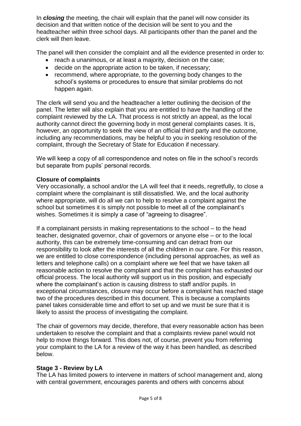In *closing* the meeting, the chair will explain that the panel will now consider its decision and that written notice of the decision will be sent to you and the headteacher within three school days. All participants other than the panel and the clerk will then leave.

The panel will then consider the complaint and all the evidence presented in order to:

- reach a unanimous, or at least a majority, decision on the case;
- decide on the appropriate action to be taken, if necessary;
- recommend, where appropriate, to the governing body changes to the school's systems or procedures to ensure that similar problems do not happen again.

The clerk will send you and the headteacher a letter outlining the decision of the panel. The letter will also explain that you are entitled to have the handling of the complaint reviewed by the LA. That process is not strictly an appeal, as the local authority cannot direct the governing body in most general complaints cases. It is, however, an opportunity to seek the view of an official third party and the outcome, including any recommendations, may be helpful to you in seeking resolution of the complaint, through the Secretary of State for Education if necessary.

We will keep a copy of all correspondence and notes on file in the school's records but separate from pupils' personal records.

#### **Closure of complaints**

Very occasionally, a school and/or the LA will feel that it needs, regretfully, to close a complaint where the complainant is still dissatisfied. We, and the local authority where appropriate, will do all we can to help to resolve a complaint against the school but sometimes it is simply not possible to meet all of the complainant's wishes. Sometimes it is simply a case of "agreeing to disagree".

If a complainant persists in making representations to the school – to the head teacher, designated governor, chair of governors or anyone else – or to the local authority, this can be extremely time-consuming and can detract from our responsibility to look after the interests of all the children in our care. For this reason, we are entitled to close correspondence (including personal approaches, as well as letters and telephone calls) on a complaint where we feel that we have taken all reasonable action to resolve the complaint and that the complaint has exhausted our official process. The local authority will support us in this position, and especially where the complainant's action is causing distress to staff and/or pupils. In exceptional circumstances, closure may occur before a complaint has reached stage two of the procedures described in this document. This is because a complaints panel takes considerable time and effort to set up and we must be sure that it is likely to assist the process of investigating the complaint.

The chair of governors may decide, therefore, that every reasonable action has been undertaken to resolve the complaint and that a complaints review panel would not help to move things forward. This does not, of course, prevent you from referring your complaint to the LA for a review of the way it has been handled, as described below.

#### **Stage 3 - Review by LA**

The LA has limited powers to intervene in matters of school management and, along with central government, encourages parents and others with concerns about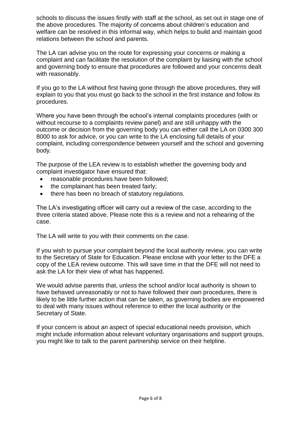schools to discuss the issues firstly with staff at the school, as set out in stage one of the above procedures. The majority of concerns about children's education and welfare can be resolved in this informal way, which helps to build and maintain good relations between the school and parents.

The LA can advise you on the route for expressing your concerns or making a complaint and can facilitate the resolution of the complaint by liaising with the school and governing body to ensure that procedures are followed and your concerns dealt with reasonably.

If you go to the LA without first having gone through the above procedures, they will explain to you that you must go back to the school in the first instance and follow its procedures.

Where you have been through the school's internal complaints procedures (with or without recourse to a complaints review panel) and are still unhappy with the outcome or decision from the governing body you can either call the LA on 0300 300 8000 to ask for advice, or you can write to the LA enclosing full details of your complaint, including correspondence between yourself and the school and governing body.

The purpose of the LEA review is to establish whether the governing body and complaint investigator have ensured that:

- reasonable procedures have been followed;
- the complainant has been treated fairly;
- there has been no breach of statutory regulations.

The LA's investigating officer will carry out a review of the case, according to the three criteria stated above. Please note this is a review and not a rehearing of the case.

The LA will write to you with their comments on the case.

If you wish to pursue your complaint beyond the local authority review, you can write to the Secretary of State for Education. Please enclose with your letter to the DFE a copy of the LEA review outcome. This will save time in that the DFE will not need to ask the LA for their view of what has happened.

We would advise parents that, unless the school and/or local authority is shown to have behaved unreasonably or not to have followed their own procedures, there is likely to be little further action that can be taken, as governing bodies are empowered to deal with many issues without reference to either the local authority or the Secretary of State.

If your concern is about an aspect of special educational needs provision, which might include information about relevant voluntary organisations and support groups, you might like to talk to the parent partnership service on their helpline.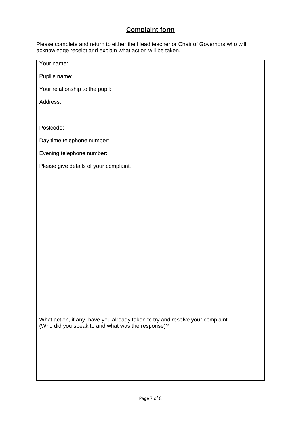# **Complaint form**

Please complete and return to either the Head teacher or Chair of Governors who will acknowledge receipt and explain what action will be taken.

Your name:

Pupil's name:

Your relationship to the pupil:

Address:

Postcode:

Day time telephone number:

Evening telephone number:

Please give details of your complaint.

What action, if any, have you already taken to try and resolve your complaint. (Who did you speak to and what was the response)?